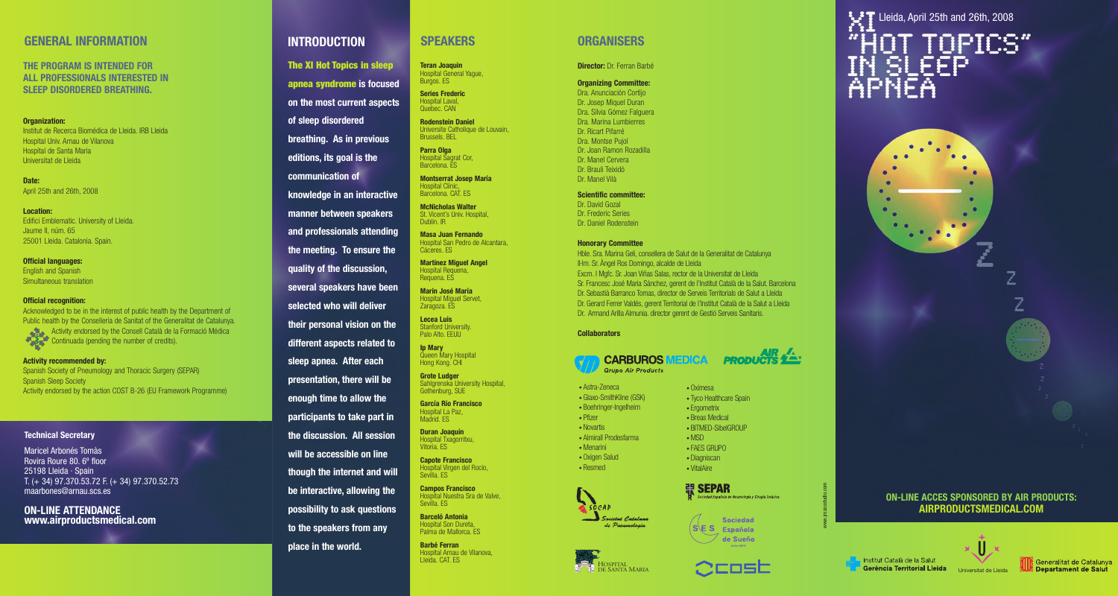#### **GENERAL INFORMATION**

THE PROGRAM IS INTENDED FOR ALL PROFESSIONALS INTERESTED IN SLEEP DISORDERED BREATHING.

#### **Organization:**

I nstitut de Recerca Biomédica de Lleida. IRB Lleida i i i l i I l i Hospital Univ. Arnau de Vilanova i l i i l Hospital de Santa Maria i l i Universitat de Lleida i i l i

**D a t e :** April 25th and 26th, 2008 i l

**Location:** Edifici Emblematic. University of Lleida. i i i l i i i l i Jaume II, núm. 65 I I 25001 Lleida. Catalonia. Spain. l i l i i

Official languages: English and Spanish l i i Simultaneous translation i l l i

#### **Official recognition:**

Acknowledged to be in the interest of public health by the Department of l i i l i l Public health by the Conselleria de Sanitat of the Generalitat de Catalunya. l i l l l i i l i l Activity endorsed by the Consell Català de la Formació Médica i i l l l l i i Continuada (pending the number of credits). i i i

#### Activity recommended by:

Spanish Society of Pneumology and Thoracic Surgery (SEPAR) i i l i Spanish Sleep Society i l i Activity endorsed by the action COST B-26 (EU Framework Programme) i i i

#### **Technical Secretary**

Maricel Arbonés Tomàs Rovira Roure 80. 6° floor 25198 Lleida · Spain T. (+ 34) 97.370.53.72 F. (+ 34) 97.370.52.73 maarbones@arnau.scs.es

**ON-LINE ATTENDANCE** www.airproductsmedical.com

## **INTRODUCTION**

**of** sleep disordered

editions, its goal is the

**knowledge in an interactive** manner between speakers and professionals attending **the meeting. To ensure the quality of the discussion,** several speakers have been selected who will deliver their personal vision on the **different aspects related to** sleep apnea. After each presentation, there will be enough time to allow the participants to take part in the discussion. All session will be accessible on line though the internet and will be interactive, allowing the possibility to ask questions **to the speakers from any** 

**communication of** 

place in the world.

**he XI Hot Topics in sleep apnea syndrome** is focused

on the most current aspects

breathing. As in previous **Rodenstein Daniel** Universite Catholique de Louvain, i i l i Brussels. BEL l

> **P a r r a O l g a** Hospital Sagrat Cor, i l Barcelona. ES l

> > **Montserrat Josep María** Hospital Clínic, i l l í i Barcelona. CAT. ES l

**SPEAKERS** 

l

i

**Teran Joaquin** Hospital General Yague, i l

Burgos. ES **S e r i e s F r e d e r i c** Hospital Laval, i l l Quebec. CAN

**McNicholas Walter** St. Vicent's Univ. Hospital, i i i l Dublín. IR l í I

**Masa Juan Fernando** Hospital San Pedro de Alcantara, i l l Cáceres. ES

**Martinez Miguel Angel** Hospital Requena, i l Requena. ES

**Marin José María** Hospital Miguel Servet, i l i l Zaragoza. ES

Lecea Luis Stanford University. i i Palo Alto. EEUU l l

**I p M a r y** Queen Mary Hospita i l Hong Kong. CH I

**Grote Ludger** Sahlgrenska University Hospital, l i i i Gothenburg, SUE

l

García Río Francisco Hospital La Paz, i l Madrid. ES i

**Duran Joaquín** Hospital Txagorritxu, i l i Vitoria. ES i i

> **Capote Francisco** Hospital Virgen del Rocio, i l i l i Sevilla. ES i l l

**Campos Francisco** Hospital Nuestra Sra de Valve, i l l Sevilla. ES i l l

**Barceló Antonia** Hospital Son Dureta, i l Palma de Mallorca. ES l l l

**Barbé Ferran** Hospital Arnau de Vilanova, i l i l Lleida. CAT. ES l i

## **O R G A N I S E R S**

**Director:** Dr. Ferran Barbé

#### **Organizing Committee:**

Dra. Anunciación Cortijo i i i Dr. Josep Miquel Duran i l Dra. Sílvia Gómez Falguera í l i l Dra. Marina Lumbierres i i Dr. Ricart Pifarré i i Dra. Montse Pujo j l Dr. Joan Ramon Rozadilla i l l Dr. Manel Cervera l Dr. Brauli Teixidó l i i i Dr. Manel Vilà l i l

#### Scientific committee:

Dr. David Goza i l Dr. Frederic Series i i Dr. Daniel Rodenstein i l i

#### **Honorary Committee**

Hble. Sra. Marina Geli, consellera de Salut de la Generalitat de Catalunya l i l i l l l l l i l I l I·lm. Sr. Angel Ros Domingo, alcalde de Lleida l l i l l l i Excm. I Mgfc. Sr. Joan Viñas Salas, rector de la Universitat de Lleida I i l l i i l i Sr. Francesc José Maria Sánchez, gerent de l'Institut Català de la Salut. Barcelona i l I i l l l l Dr. Sebastià Barranco Tomas, director de Serveis Territorials de Salut a Lleida i i i i i l l l i Dr. Gerard Ferrer Valdés, gerent Territorial de l'Institut Català de la Salut a Lleida l i i l l I i l l l l i Dr. Armand Arilla Almunia. director gerent de Gestió Serveis Sanitaris. i l l l i i i i i i

#### **Collaborators**

l

• Pfizer i • Novartis i

l i l l • Menarin i

i

• Resmed

i



**MEDICA** 

• Oximesa i

• Ergometrix i • Breas Medica i l • BITMED-SibelGROUP

i

i

I

• MSD • FAES GRUPO

• Tyco Healthcare Spain l

> i l

i

**PRODUCTS** 

• Astra-Zeneca • Glaxo-SmithKline (GSK) i l i • Boehringer-Ingelheim I l i • Almirall Prodesfarma i • Oxigen Salud l





 $S \ E S$  Española de Sueño www.jrozasstudio.com

Lleida, April 25th and 26th, 2008 T TOPICS" IN ŠLĖĔP<br>APNEA







 $5000$ 

de Pueumologia

HOSPITA HOSPITAL<br>DE SANTA MARIA



લ SEPAR spañola de Neumología y Cirugía Torácica Sociedad



l